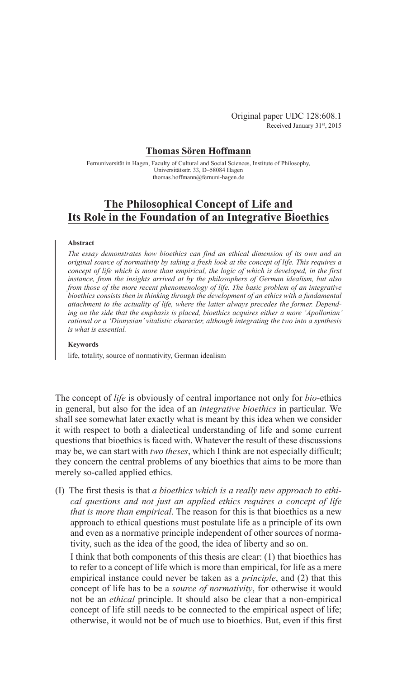Original paper UDC 128:608.1 Received January 31st, 2015

## **Thomas Sören Hoffmann**

Fernuniversität in Hagen, Faculty of Cultural and Social Sciences, Institute of Philosophy, Universitätsstr. 33, D–58084 Hagen thomas.hoffmann@fernuni-hagen.de

# **The Philosophical Concept of Life and Its Role in the Foundation of an Integrative Bioethics**

### **Abstract**

*The essay demonstrates how bioethics can find an ethical dimension of its own and an original source of normativity by taking a fresh look at the concept of life. This requires a concept of life which is more than empirical, the logic of which is developed, in the first instance, from the insights arrived at by the philosophers of German idealism, but also from those of the more recent phenomenology of life. The basic problem of an integrative bioethics consists then in thinking through the development of an ethics with a fundamental attachment to the actuality of life, where the latter always precedes the former. Depending on the side that the emphasis is placed, bioethics acquires either a more 'Apollonian' rational or a 'Dionysian' vitalistic character, although integrating the two into a synthesis is what is essential.*

#### **Keywords**

life, totality, source of normativity, German idealism

The concept of *life* is obviously of central importance not only for *bio*-ethics in general, but also for the idea of an *integrative bioethics* in particular. We shall see somewhat later exactly what is meant by this idea when we consider it with respect to both a dialectical understanding of life and some current questions that bioethics is faced with. Whatever the result of these discussions may be, we can start with *two theses*, which I think are not especially difficult; they concern the central problems of any bioethics that aims to be more than merely so-called applied ethics.

(I) The first thesis is that *a bioethics which is a really new approach to ethical questions and not just an applied ethics requires a concept of life that is more than empirical*. The reason for this is that bioethics as a new approach to ethical questions must postulate life as a principle of its own and even as a normative principle independent of other sources of normativity, such as the idea of the good, the idea of liberty and so on.

I think that both components of this thesis are clear: (1) that bioethics has to refer to a concept of life which is more than empirical, for life as a mere empirical instance could never be taken as a *principle*, and (2) that this concept of life has to be a *source of normativity*, for otherwise it would not be an *ethical* principle. It should also be clear that a non-empirical concept of life still needs to be connected to the empirical aspect of life; otherwise, it would not be of much use to bioethics. But, even if this first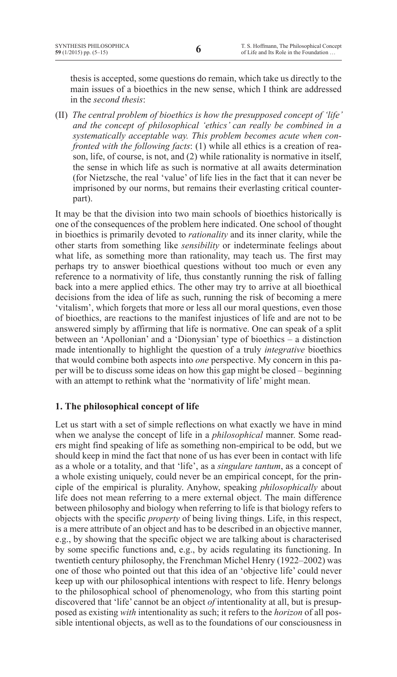thesis is accepted, some questions do remain, which take us directly to the main issues of a bioethics in the new sense, which I think are addressed in the *second thesis*:

(II) *The central problem of bioethics is how the presupposed concept of 'life' and the concept of philosophical 'ethics' can really be combined in a systematically acceptable way. This problem becomes acute when confronted with the following facts*: (1) while all ethics is a creation of reason, life, of course, is not, and (2) while rationality is normative in itself, the sense in which life as such is normative at all awaits determination (for Nietzsche, the real 'value' of life lies in the fact that it can never be imprisoned by our norms, but remains their everlasting critical counterpart).

It may be that the division into two main schools of bioethics historically is one of the consequences of the problem here indicated. One school of thought in bioethics is primarily devoted to *rationality* and its inner clarity, while the other starts from something like *sensibility* or indeterminate feelings about what life, as something more than rationality, may teach us. The first may perhaps try to answer bioethical questions without too much or even any reference to a normativity of life, thus constantly running the risk of falling back into a mere applied ethics. The other may try to arrive at all bioethical decisions from the idea of life as such, running the risk of becoming a mere 'vitalism', which forgets that more or less all our moral questions, even those of bioethics, are reactions to the manifest injustices of life and are not to be answered simply by affirming that life is normative. One can speak of a split between an 'Apollonian' and a 'Dionysian' type of bioethics – a distinction made intentionally to highlight the question of a truly *integrative* bioethics that would combine both aspects into *one* perspective. My concern in this paper will be to discuss some ideas on how this gap might be closed – beginning with an attempt to rethink what the 'normativity of life' might mean.

# **1. The philosophical concept of life**

Let us start with a set of simple reflections on what exactly we have in mind when we analyse the concept of life in a *philosophical* manner. Some readers might find speaking of life as something non-empirical to be odd, but we should keep in mind the fact that none of us has ever been in contact with life as a whole or a totality, and that 'life', as a *singulare tantum*, as a concept of a whole existing uniquely, could never be an empirical concept, for the principle of the empirical is plurality. Anyhow, speaking *philosophically* about life does not mean referring to a mere external object. The main difference between philosophy and biology when referring to life is that biology refers to objects with the specific *property* of being living things. Life, in this respect, is a mere attribute of an object and has to be described in an objective manner, e.g., by showing that the specific object we are talking about is characterised by some specific functions and, e.g., by acids regulating its functioning. In twentieth century philosophy, the Frenchman Michel Henry (1922–2002) was one of those who pointed out that this idea of an 'objective life' could never keep up with our philosophical intentions with respect to life. Henry belongs to the philosophical school of phenomenology, who from this starting point discovered that 'life' cannot be an object *of* intentionality at all, but is presupposed as existing *with* intentionality as such; it refers to the *horizon* of all possible intentional objects, as well as to the foundations of our consciousness in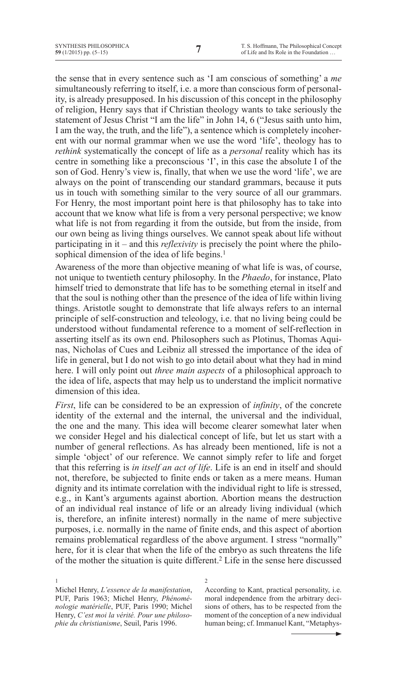the sense that in every sentence such as 'I am conscious of something' a *me* simultaneously referring to itself, i.e. a more than conscious form of personality, is already presupposed. In his discussion of this concept in the philosophy of religion, Henry says that if Christian theology wants to take seriously the statement of Jesus Christ "I am the life" in John 14, 6 ("Jesus saith unto him, I am the way, the truth, and the life"), a sentence which is completely incoherent with our normal grammar when we use the word 'life', theology has to *rethink* systematically the concept of life as a *personal* reality which has its centre in something like a preconscious 'I', in this case the absolute I of the son of God. Henry's view is, finally, that when we use the word 'life', we are always on the point of transcending our standard grammars, because it puts us in touch with something similar to the very source of all our grammars. For Henry, the most important point here is that philosophy has to take into account that we know what life is from a very personal perspective; we know what life is not from regarding it from the outside, but from the inside, from our own being as living things ourselves. We cannot speak about life without participating in it – and this *reflexivity* is precisely the point where the philosophical dimension of the idea of life begins.<sup>1</sup>

Awareness of the more than objective meaning of what life is was, of course, not unique to twentieth century philosophy. In the *Phaedo*, for instance, Plato himself tried to demonstrate that life has to be something eternal in itself and that the soul is nothing other than the presence of the idea of life within living things. Aristotle sought to demonstrate that life always refers to an internal principle of self-construction and teleology, i.e. that no living being could be understood without fundamental reference to a moment of self-reflection in asserting itself as its own end. Philosophers such as Plotinus, Thomas Aquinas, Nicholas of Cues and Leibniz all stressed the importance of the idea of life in general, but I do not wish to go into detail about what they had in mind here. I will only point out *three main aspects* of a philosophical approach to the idea of life, aspects that may help us to understand the implicit normative dimension of this idea.

*First*, life can be considered to be an expression of *infinity*, of the concrete identity of the external and the internal, the universal and the individual, the one and the many. This idea will become clearer somewhat later when we consider Hegel and his dialectical concept of life, but let us start with a number of general reflections. As has already been mentioned, life is not a simple 'object' of our reference. We cannot simply refer to life and forget that this referring is *in itself an act of life*. Life is an end in itself and should not, therefore, be subjected to finite ends or taken as a mere means. Human dignity and its intimate correlation with the individual right to life is stressed, e.g., in Kant's arguments against abortion. Abortion means the destruction of an individual real instance of life or an already living individual (which is, therefore, an infinite interest) normally in the name of mere subjective purposes, i.e. normally in the name of finite ends, and this aspect of abortion remains problematical regardless of the above argument. I stress "normally" here, for it is clear that when the life of the embryo as such threatens the life of the mother the situation is quite different.2 Life in the sense here discussed

According to Kant, practical personality, i.e. moral independence from the arbitrary decisions of others, has to be respected from the moment of the conception of a new individual human being; cf. Immanuel Kant, "Metaphys-

<sup>1</sup> Michel Henry, *L'essence de la manifestation*, PUF, Paris 1963; Michel Henry, *Phénoménologie matérielle*, PUF, Paris 1990; Michel Henry, *C'est moi la vérité. Pour une philosophie du christianisme*, Seuil, Paris 1996.

 $\overline{\mathcal{L}}$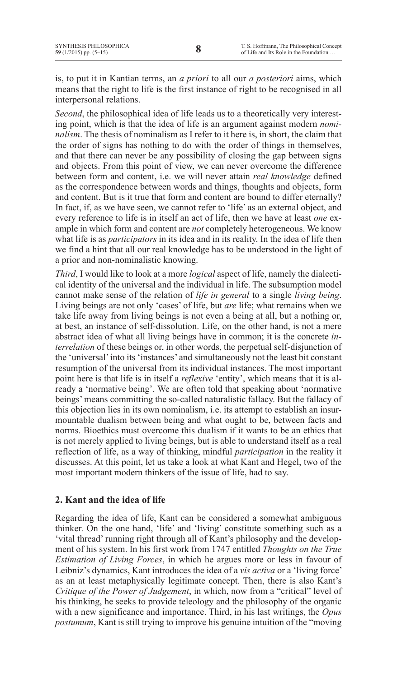is, to put it in Kantian terms, an *a priori* to all our *a posteriori* aims, which means that the right to life is the first instance of right to be recognised in all interpersonal relations.

*Second*, the philosophical idea of life leads us to a theoretically very interesting point, which is that the idea of life is an argument against modern *nominalism*. The thesis of nominalism as I refer to it here is, in short, the claim that the order of signs has nothing to do with the order of things in themselves, and that there can never be any possibility of closing the gap between signs and objects. From this point of view, we can never overcome the difference between form and content, i.e. we will never attain *real knowledge* defined as the correspondence between words and things, thoughts and objects, form and content. But is it true that form and content are bound to differ eternally? In fact, if, as we have seen, we cannot refer to 'life' as an external object, and every reference to life is in itself an act of life, then we have at least *one* example in which form and content are *not* completely heterogeneous. We know what life is as *participators* in its idea and in its reality. In the idea of life then we find a hint that all our real knowledge has to be understood in the light of a prior and non-nominalistic knowing.

*Third*, I would like to look at a more *logical* aspect of life, namely the dialectical identity of the universal and the individual in life. The subsumption model cannot make sense of the relation of *life in general* to a single *living being*. Living beings are not only 'cases' of life, but *are* life; what remains when we take life away from living beings is not even a being at all, but a nothing or, at best, an instance of self-dissolution. Life, on the other hand, is not a mere abstract idea of what all living beings have in common; it is the concrete *interrelation* of these beings or, in other words, the perpetual self-disjunction of the 'universal'into its 'instances' and simultaneously not the least bit constant resumption of the universal from its individual instances. The most important point here is that life is in itself a *reflexive* 'entity', which means that it is already a 'normative being'. We are often told that speaking about 'normative beings' means committing the so-called naturalistic fallacy. But the fallacy of this objection lies in its own nominalism, i.e. its attempt to establish an insurmountable dualism between being and what ought to be, between facts and norms. Bioethics must overcome this dualism if it wants to be an ethics that is not merely applied to living beings, but is able to understand itself as a real reflection of life, as a way of thinking, mindful *participation* in the reality it discusses. At this point, let us take a look at what Kant and Hegel, two of the most important modern thinkers of the issue of life, had to say.

# **2. Kant and the idea of life**

Regarding the idea of life, Kant can be considered a somewhat ambiguous thinker. On the one hand, 'life' and 'living' constitute something such as a 'vital thread' running right through all of Kant's philosophy and the development of his system. In his first work from 1747 entitled *Thoughts on the True Estimation of Living Forces*, in which he argues more or less in favour of Leibniz's dynamics, Kant introduces the idea of a *vis activa* or a 'living force' as an at least metaphysically legitimate concept. Then, there is also Kant's *Critique of the Power of Judgement*, in which, now from a "critical" level of his thinking, he seeks to provide teleology and the philosophy of the organic with a new significance and importance. Third, in his last writings, the *Opus postumum*, Kant is still trying to improve his genuine intuition of the "moving"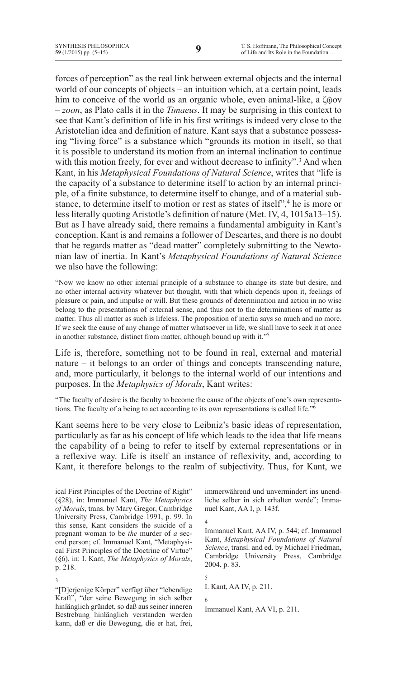forces of perception" as the real link between external objects and the internal world of our concepts of objects – an intuition which, at a certain point, leads him to conceive of the world as an organic whole, even animal-like, a ζῷον – *zoon*, as Plato calls it in the *Timaeus*. It may be surprising in this context to see that Kant's definition of life in his first writings is indeed very close to the Aristotelian idea and definition of nature. Kant says that a substance possessing "living force" is a substance which "grounds its motion in itself, so that it is possible to understand its motion from an internal inclination to continue with this motion freely, for ever and without decrease to infinity".<sup>3</sup> And when Kant, in his *Metaphysical Foundations of Natural Science*, writes that "life is the capacity of a substance to determine itself to action by an internal principle, of a finite substance, to determine itself to change, and of a material substance, to determine itself to motion or rest as states of itself",<sup>4</sup> he is more or less literally quoting Aristotle's definition of nature (Met. IV, 4, 1015a13–15). But as I have already said, there remains a fundamental ambiguity in Kant's conception. Kant is and remains a follower of Descartes, and there is no doubt that he regards matter as "dead matter" completely submitting to the Newtonian law of inertia. In Kant's *Metaphysical Foundations of Natural Science* we also have the following:

"Now we know no other internal principle of a substance to change its state but desire, and no other internal activity whatever but thought, with that which depends upon it, feelings of pleasure or pain, and impulse or will. But these grounds of determination and action in no wise belong to the presentations of external sense, and thus not to the determinations of matter as matter. Thus all matter as such is lifeless. The proposition of inertia says so much and no more. If we seek the cause of any change of matter whatsoever in life, we shall have to seek it at once in another substance, distinct from matter, although bound up with it."<sup>5</sup>

Life is, therefore, something not to be found in real, external and material nature – it belongs to an order of things and concepts transcending nature, and, more particularly, it belongs to the internal world of our intentions and purposes. In the *Metaphysics of Morals*, Kant writes:

"The faculty of desire is the faculty to become the cause of the objects of one's own representations. The faculty of a being to act according to its own representations is called life."6

Kant seems here to be very close to Leibniz's basic ideas of representation, particularly as far as his concept of life which leads to the idea that life means the capability of a being to refer to itself by external representations or in a reflexive way. Life is itself an instance of reflexivity, and, according to Kant, it therefore belongs to the realm of subjectivity. Thus, for Kant, we

3

"[D]erjenige Körper" verfügt über "lebendige Kraft", "der seine Bewegung in sich selber hinlänglich gründet, so daß aus seiner inneren Bestrebung hinlänglich verstanden werden kann, daß er die Bewegung, die er hat, frei,

immerwährend und unvermindert ins unendliche selber in sich erhalten werde"; Immanuel Kant, AA I, p. 143f.

4 Immanuel Kant, AA IV, p. 544; cf. Immanuel Kant, *Metaphysical Foundations of Natural Science*, transl. and ed. by Michael Friedman, Cambridge University Press, Cambridge 2004, p. 83.

5

I. Kant, AA IV, p. 211.

6

Immanuel Kant, AA VI, p. 211.

ical First Principles of the Doctrine of Right" (§28), in: Immanuel Kant, *The Metaphysics of Morals*, trans. by Mary Gregor, Cambridge University Press, Cambridge 1991, p. 99. In this sense, Kant considers the suicide of a pregnant woman to be *the* murder of *a* second person; cf. Immanuel Kant, "Metaphysical First Principles of the Doctrine of Virtue" (§6), in: I. Kant, *The Metaphysics of Morals*, p. 218.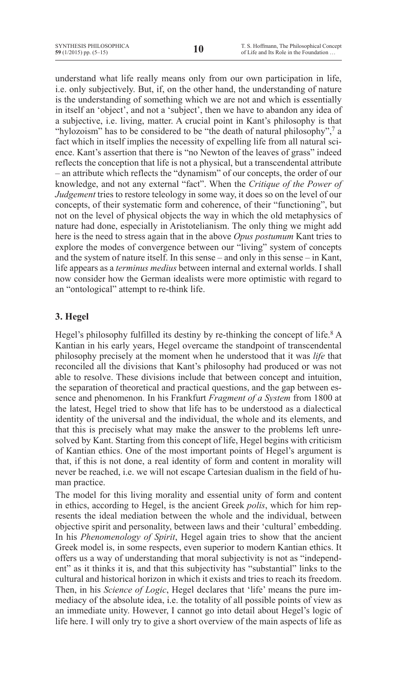understand what life really means only from our own participation in life, i.e. only subjectively. But, if, on the other hand, the understanding of nature is the understanding of something which we are not and which is essentially in itself an 'object', and not a 'subject', then we have to abandon any idea of a subjective, i.e. living, matter. A crucial point in Kant's philosophy is that "hylozoism" has to be considered to be "the death of natural philosophy",<sup>7</sup> a fact which in itself implies the necessity of expelling life from all natural science. Kant's assertion that there is "no Newton of the leaves of grass" indeed reflects the conception that life is not a physical, but a transcendental attribute – an attribute which reflects the "dynamism" of our concepts, the order of our knowledge, and not any external "fact". When the *Critique of the Power of Judgement* tries to restore teleology in some way, it does so on the level of our concepts, of their systematic form and coherence, of their "functioning", but not on the level of physical objects the way in which the old metaphysics of nature had done, especially in Aristotelianism. The only thing we might add here is the need to stress again that in the above *Opus postumum* Kant tries to explore the modes of convergence between our "living" system of concepts and the system of nature itself. In this sense – and only in this sense – in Kant, life appears as a *terminus medius* between internal and external worlds. I shall now consider how the German idealists were more optimistic with regard to an "ontological" attempt to re-think life.

# **3. Hegel**

Hegel's philosophy fulfilled its destiny by re-thinking the concept of life.<sup>8</sup> A Kantian in his early years, Hegel overcame the standpoint of transcendental philosophy precisely at the moment when he understood that it was *life* that reconciled all the divisions that Kant's philosophy had produced or was not able to resolve. These divisions include that between concept and intuition, the separation of theoretical and practical questions, and the gap between essence and phenomenon. In his Frankfurt *Fragment of a System* from 1800 at the latest, Hegel tried to show that life has to be understood as a dialectical identity of the universal and the individual, the whole and its elements, and that this is precisely what may make the answer to the problems left unresolved by Kant. Starting from this concept of life, Hegel begins with criticism of Kantian ethics. One of the most important points of Hegel's argument is that, if this is not done, a real identity of form and content in morality will never be reached, i.e. we will not escape Cartesian dualism in the field of human practice.

The model for this living morality and essential unity of form and content in ethics, according to Hegel, is the ancient Greek *polis*, which for him represents the ideal mediation between the whole and the individual, between objective spirit and personality, between laws and their 'cultural' embedding. In his *Phenomenology of Spirit*, Hegel again tries to show that the ancient Greek model is, in some respects, even superior to modern Kantian ethics. It offers us a way of understanding that moral subjectivity is not as "independent" as it thinks it is, and that this subjectivity has "substantial" links to the cultural and historical horizon in which it exists and tries to reach its freedom. Then, in his *Science of Logic*, Hegel declares that 'life' means the pure immediacy of the absolute idea, i.e. the totality of all possible points of view as an immediate unity. However, I cannot go into detail about Hegel's logic of life here. I will only try to give a short overview of the main aspects of life as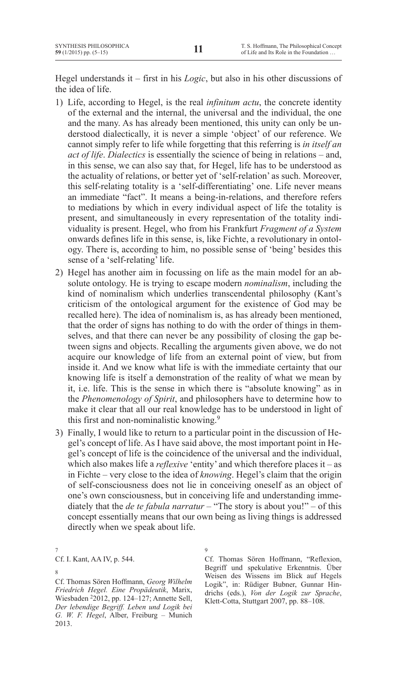Hegel understands it – first in his *Logic*, but also in his other discussions of the idea of life.

- 1) Life, according to Hegel, is the real *infinitum actu*, the concrete identity of the external and the internal, the universal and the individual, the one and the many. As has already been mentioned, this unity can only be understood dialectically, it is never a simple 'object' of our reference. We cannot simply refer to life while forgetting that this referring is *in itself an act of life*. *Dialectics* is essentially the science of being in relations – and, in this sense, we can also say that, for Hegel, life has to be understood as the actuality of relations, or better yet of 'self-relation' as such. Moreover, this self-relating totality is a 'self-differentiating' one. Life never means an immediate "fact". It means a being-in-relations, and therefore refers to mediations by which in every individual aspect of life the totality is present, and simultaneously in every representation of the totality individuality is present. Hegel, who from his Frankfurt *Fragment of a System*  onwards defines life in this sense, is, like Fichte, a revolutionary in ontology. There is, according to him, no possible sense of 'being' besides this sense of a 'self-relating' life.
- 2) Hegel has another aim in focussing on life as the main model for an absolute ontology. He is trying to escape modern *nominalism*, including the kind of nominalism which underlies transcendental philosophy (Kant's criticism of the ontological argument for the existence of God may be recalled here). The idea of nominalism is, as has already been mentioned, that the order of signs has nothing to do with the order of things in themselves, and that there can never be any possibility of closing the gap between signs and objects. Recalling the arguments given above, we do not acquire our knowledge of life from an external point of view, but from inside it. And we know what life is with the immediate certainty that our knowing life is itself a demonstration of the reality of what we mean by it, i.e. life. This is the sense in which there is "absolute knowing" as in the *Phenomenology of Spirit*, and philosophers have to determine how to make it clear that all our real knowledge has to be understood in light of this first and non-nominalistic knowing.9
- 3) Finally, I would like to return to a particular point in the discussion of Hegel's concept of life. As I have said above, the most important point in Hegel's concept of life is the coincidence of the universal and the individual, which also makes life a *reflexive* 'entity' and which therefore places it – as in Fichte – very close to the idea of *knowing*. Hegel's claim that the origin of self-consciousness does not lie in conceiving oneself as an object of one's own consciousness, but in conceiving life and understanding immediately that the *de te fabula narratur* – "The story is about you!" – of this concept essentially means that our own being as living things is addressed directly when we speak about life.
- 7

Cf. I. Kant, AA IV, p. 544.

9

Cf. Thomas Sören Hoffmann, "Reflexion, Begriff und spekulative Erkenntnis. Über Weisen des Wissens im Blick auf Hegels Logik", in: Rüdiger Bubner, Gunnar Hindrichs (eds.), *Von der Logik zur Sprache*, Klett-Cotta, Stuttgart 2007, pp. 88–108.

<sup>8</sup>

Cf. Thomas Sören Hoffmann, *Georg Wilhelm Friedrich Hegel. Eine Propädeutik*, Marix, Wiesbaden 22012, pp. 124–127; Annette Sell, *Der lebendige Begriff. Leben und Logik bei G. W. F. Hegel*, Alber, Freiburg – Munich 2013.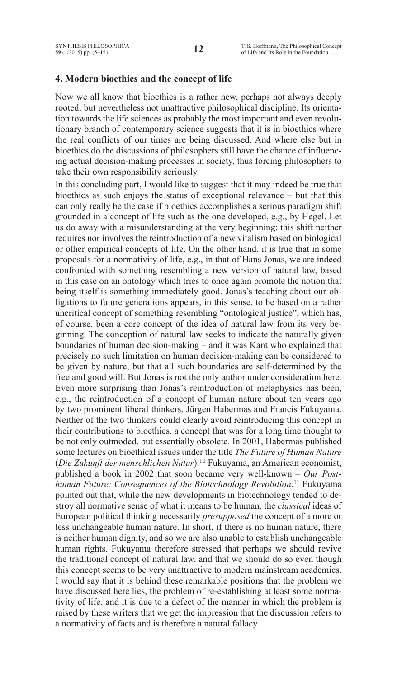## **4. Modern bioethics and the concept of life**

Now we all know that bioethics is a rather new, perhaps not always deeply rooted, but nevertheless not unattractive philosophical discipline. Its orientation towards the life sciences as probably the most important and even revolutionary branch of contemporary science suggests that it is in bioethics where the real conflicts of our times are being discussed. And where else but in bioethics do the discussions of philosophers still have the chance of influencing actual decision-making processes in society, thus forcing philosophers to take their own responsibility seriously.

In this concluding part, I would like to suggest that it may indeed be true that bioethics as such enjoys the status of exceptional relevance – but that this can only really be the case if bioethics accomplishes a serious paradigm shift grounded in a concept of life such as the one developed, e.g., by Hegel. Let us do away with a misunderstanding at the very beginning: this shift neither requires nor involves the reintroduction of a new vitalism based on biological or other empirical concepts of life. On the other hand, it is true that in some proposals for a normativity of life, e.g., in that of Hans Jonas, we are indeed confronted with something resembling a new version of natural law, based in this case on an ontology which tries to once again promote the notion that being itself is something immediately good. Jonas's teaching about our obligations to future generations appears, in this sense, to be based on a rather uncritical concept of something resembling "ontological justice", which has, of course, been a core concept of the idea of natural law from its very beginning. The conception of natural law seeks to indicate the naturally given boundaries of human decision-making – and it was Kant who explained that precisely no such limitation on human decision-making can be considered to be given by nature, but that all such boundaries are self-determined by the free and good will. But Jonas is not the only author under consideration here. Even more surprising than Jonas's reintroduction of metaphysics has been, e.g., the reintroduction of a concept of human nature about ten years ago by two prominent liberal thinkers, Jürgen Habermas and Francis Fukuyama. Neither of the two thinkers could clearly avoid reintroducing this concept in their contributions to bioethics, a concept that was for a long time thought to be not only outmoded, but essentially obsolete. In 2001, Habermas published some lectures on bioethical issues under the title *The Future of Human Nature* (*Die Zukunft der menschlichen Natur*).10 Fukuyama, an American economist, published a book in 2002 that soon became very well-known – *Our Posthuman Future: Consequences of the Biotechnology Revolution*. <sup>11</sup> Fukuyama pointed out that, while the new developments in biotechnology tended to destroy all normative sense of what it means to be human, the *classical* ideas of European political thinking necessarily *presupposed* the concept of a more or less unchangeable human nature. In short, if there is no human nature, there is neither human dignity, and so we are also unable to establish unchangeable human rights. Fukuyama therefore stressed that perhaps we should revive the traditional concept of natural law, and that we should do so even though this concept seems to be very unattractive to modern mainstream academics. I would say that it is behind these remarkable positions that the problem we have discussed here lies, the problem of re-establishing at least some normativity of life, and it is due to a defect of the manner in which the problem is raised by these writers that we get the impression that the discussion refers to a normativity of facts and is therefore a natural fallacy.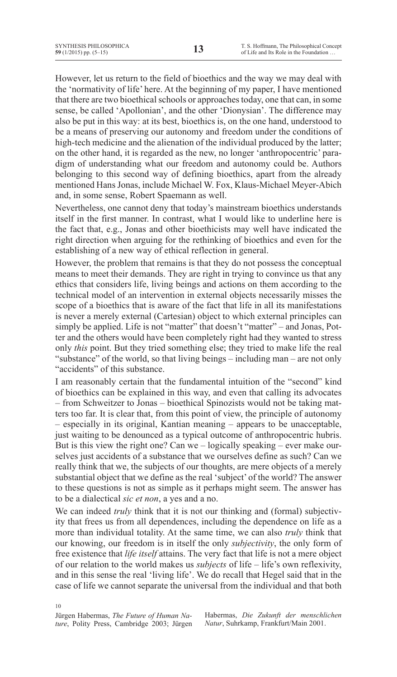However, let us return to the field of bioethics and the way we may deal with the 'normativity of life' here. At the beginning of my paper, I have mentioned that there are two bioethical schools or approaches today, one that can, in some sense, be called 'Apollonian', and the other 'Dionysian'. The difference may also be put in this way: at its best, bioethics is, on the one hand, understood to be a means of preserving our autonomy and freedom under the conditions of high-tech medicine and the alienation of the individual produced by the latter; on the other hand, it is regarded as the new, no longer 'anthropocentric' paradigm of understanding what our freedom and autonomy could be. Authors belonging to this second way of defining bioethics, apart from the already mentioned Hans Jonas, include Michael W. Fox, Klaus-Michael Meyer-Abich and, in some sense, Robert Spaemann as well.

Nevertheless, one cannot deny that today's mainstream bioethics understands itself in the first manner. In contrast, what I would like to underline here is the fact that, e.g., Jonas and other bioethicists may well have indicated the right direction when arguing for the rethinking of bioethics and even for the establishing of a new way of ethical reflection in general.

However, the problem that remains is that they do not possess the conceptual means to meet their demands. They are right in trying to convince us that any ethics that considers life, living beings and actions on them according to the technical model of an intervention in external objects necessarily misses the scope of a bioethics that is aware of the fact that life in all its manifestations is never a merely external (Cartesian) object to which external principles can simply be applied. Life is not "matter" that doesn't "matter" – and Jonas, Potter and the others would have been completely right had they wanted to stress only *this* point. But they tried something else; they tried to make life the real "substance" of the world, so that living beings – including man – are not only "accidents" of this substance.

I am reasonably certain that the fundamental intuition of the "second" kind of bioethics can be explained in this way, and even that calling its advocates – from Schweitzer to Jonas – bioethical Spinozists would not be taking matters too far. It is clear that, from this point of view, the principle of autonomy – especially in its original, Kantian meaning – appears to be unacceptable, just waiting to be denounced as a typical outcome of anthropocentric hubris. But is this view the right one? Can we – logically speaking – ever make ourselves just accidents of a substance that we ourselves define as such? Can we really think that we, the subjects of our thoughts, are mere objects of a merely substantial object that we define as the real 'subject' of the world? The answer to these questions is not as simple as it perhaps might seem. The answer has to be a dialectical *sic et non*, a yes and a no.

We can indeed *truly* think that it is not our thinking and (formal) subjectivity that frees us from all dependences, including the dependence on life as a more than individual totality. At the same time, we can also *truly* think that our knowing, our freedom is in itself the only *subjectivity*, the only form of free existence that *life itself* attains. The very fact that life is not a mere object of our relation to the world makes us *subjects* of life – life's own reflexivity, and in this sense the real 'living life'. We do recall that Hegel said that in the case of life we cannot separate the universal from the individual and that both

10 Jürgen Habermas, *The Future of Human Nature*, Polity Press, Cambridge 2003; Jürgen

Habermas, *Die Zukunft der menschlichen Natur*, Suhrkamp, Frankfurt/Main 2001.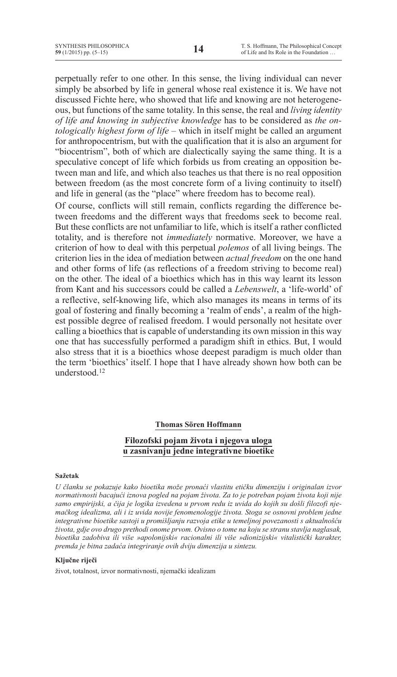perpetually refer to one other. In this sense, the living individual can never simply be absorbed by life in general whose real existence it is. We have not discussed Fichte here, who showed that life and knowing are not heterogeneous, but functions of the same totality. In this sense, the real and *living identity of life and knowing in subjective knowledge* has to be considered as *the ontologically highest form of life –* which in itself might be called an argument for anthropocentrism, but with the qualification that it is also an argument for "biocentrism", both of which are dialectically saying the same thing. It is a speculative concept of life which forbids us from creating an opposition between man and life, and which also teaches us that there is no real opposition between freedom (as the most concrete form of a living continuity to itself) and life in general (as the "place" where freedom has to become real).

Of course, conflicts will still remain, conflicts regarding the difference between freedoms and the different ways that freedoms seek to become real. But these conflicts are not unfamiliar to life, which is itself a rather conflicted totality, and is therefore not *immediately* normative. Moreover, we have a criterion of how to deal with this perpetual *polemos* of all living beings. The criterion lies in the idea of mediation between *actual freedom* on the one hand and other forms of life (as reflections of a freedom striving to become real) on the other. The ideal of a bioethics which has in this way learnt its lesson from Kant and his successors could be called a *Lebenswelt*, a 'life-world' of a reflective, self-knowing life, which also manages its means in terms of its goal of fostering and finally becoming a 'realm of ends', a realm of the highest possible degree of realised freedom. I would personally not hesitate over calling a bioethics that is capable of understanding its own mission in this way one that has successfully performed a paradigm shift in ethics. But, I would also stress that it is a bioethics whose deepest paradigm is much older than the term 'bioethics' itself. I hope that I have already shown how both can be understood<sup>12</sup>

### **Thomas Sören Hoffmann**

## **Filozofski pojam života i njegova uloga u zasnivanju jedne integrativne bioetike**

### **Sažetak**

*U članku se pokazuje kako bioetika može pronaći vlastitu etičku dimenziju i originalan izvor normativnosti bacajući iznova pogled na pojam života. Za to je potreban pojam života koji nije samo empirijski, a čija je logika izvedena u prvom redu iz uvida do kojih su došli filozofi njemačkog idealizma, ali i iz uvida novije fenomenologije života. Stoga se osnovni problem jedne integrativne bioetike sastoji u promišljanju razvoja etike u temeljnoj povezanosti s aktualnošću života, gdje ovo drugo prethodi onome prvom. Ovisno o tome na koju se stranu stavlja naglasak, bioetika zadobiva ili više »apolonijski« racionalni ili više »dionizijski« vitalistički karakter, premda je bitna zadaća integriranje ovih dviju dimenzija u sintezu.* 

### **Ključne riječi**

život, totalnost, izvor normativnosti, njemački idealizam